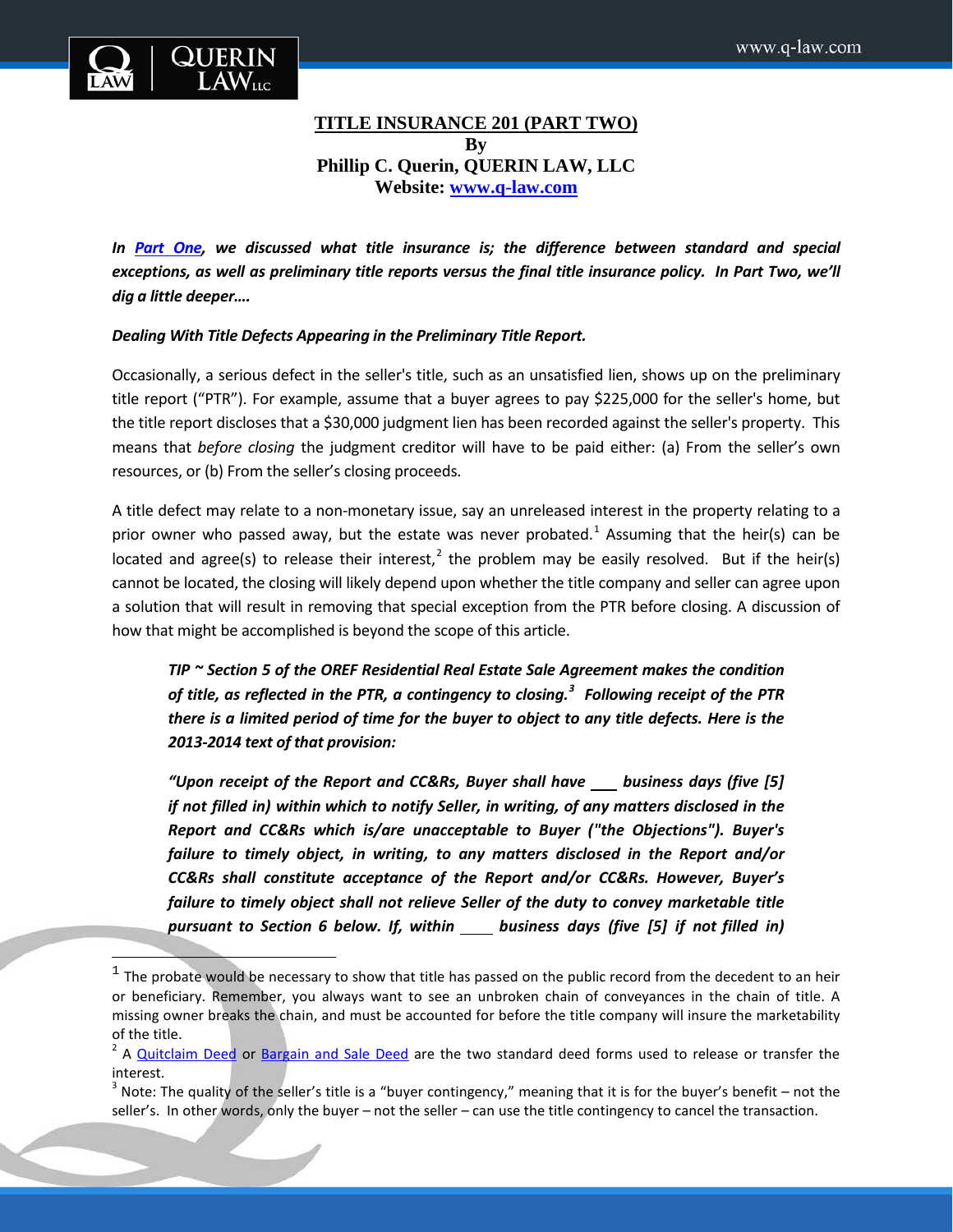

 $\overline{\phantom{a}}$ 

# **TITLE INSURANCE 201 (PART TWO) By Phillip C. Querin, QUERIN LAW, LLC Website: [www.q-law.com](http://www.q-law.com/)**

In [Part One,](http://q-law.com/title-insurance-101-part-one/) we discussed what title insurance is; the difference between standard and special *exceptions, as well as preliminary title reports versus the final title insurance policy. In Part Two, we'll dig a little deeper….*

## *Dealing With Title Defects Appearing in the Preliminary Title Report.*

Occasionally, a serious defect in the seller's title, such as an unsatisfied lien, shows up on the preliminary title report ("PTR"). For example, assume that a buyer agrees to pay \$225,000 for the seller's home, but the title report discloses that a \$30,000 judgment lien has been recorded against the seller's property. This means that *before closing* the judgment creditor will have to be paid either: (a) From the seller's own resources, or (b) From the seller's closing proceeds.

A title defect may relate to a non-monetary issue, say an unreleased interest in the property relating to a prior owner who passed away, but the estate was never probated.<sup>[1](#page-0-0)</sup> Assuming that the heir(s) can be located and agree(s) to release their interest,<sup>[2](#page-0-1)</sup> the problem may be easily resolved. But if the heir(s) cannot be located, the closing will likely depend upon whether the title company and seller can agree upon a solution that will result in removing that special exception from the PTR before closing. A discussion of how that might be accomplished is beyond the scope of this article.

*TIP ~ Section 5 of the OREF Residential Real Estate Sale Agreement makes the condition of title, as reflected in the PTR, a contingency to closing.[3](#page-0-2) Following receipt of the PTR there is a limited period of time for the buyer to object to any title defects. Here is the 2013-2014 text of that provision:*

*"Upon receipt of the Report and CC&Rs, Buyer shall have business days (five [5] if not filled in) within which to notify Seller, in writing, of any matters disclosed in the Report and CC&Rs which is/are unacceptable to Buyer ("the Objections"). Buyer's failure to timely object, in writing, to any matters disclosed in the Report and/or CC&Rs shall constitute acceptance of the Report and/or CC&Rs. However, Buyer's failure to timely object shall not relieve Seller of the duty to convey marketable title pursuant to Section 6 below. If, within business days (five [5] if not filled in)*

<span id="page-0-0"></span> $1$  The probate would be necessary to show that title has passed on the public record from the decedent to an heir or beneficiary. Remember, you always want to see an unbroken chain of conveyances in the chain of title. A missing owner breaks the chain, and must be accounted for before the title company will insure the marketability of the title.

<span id="page-0-1"></span> $<sup>2</sup>$  A [Quitclaim Deed](http://www.oregonlaws.org/ors/93.865) or [Bargain and Sale Deed](http://www.oregonlaws.org/ors/93.860) are the two standard deed forms used to release or transfer the</sup> interest.

<span id="page-0-2"></span><sup>&</sup>lt;sup>3</sup> Note: The quality of the seller's title is a "buyer contingency," meaning that it is for the buyer's benefit – not the seller's. In other words, only the buyer – not the seller – can use the title contingency to cancel the transaction.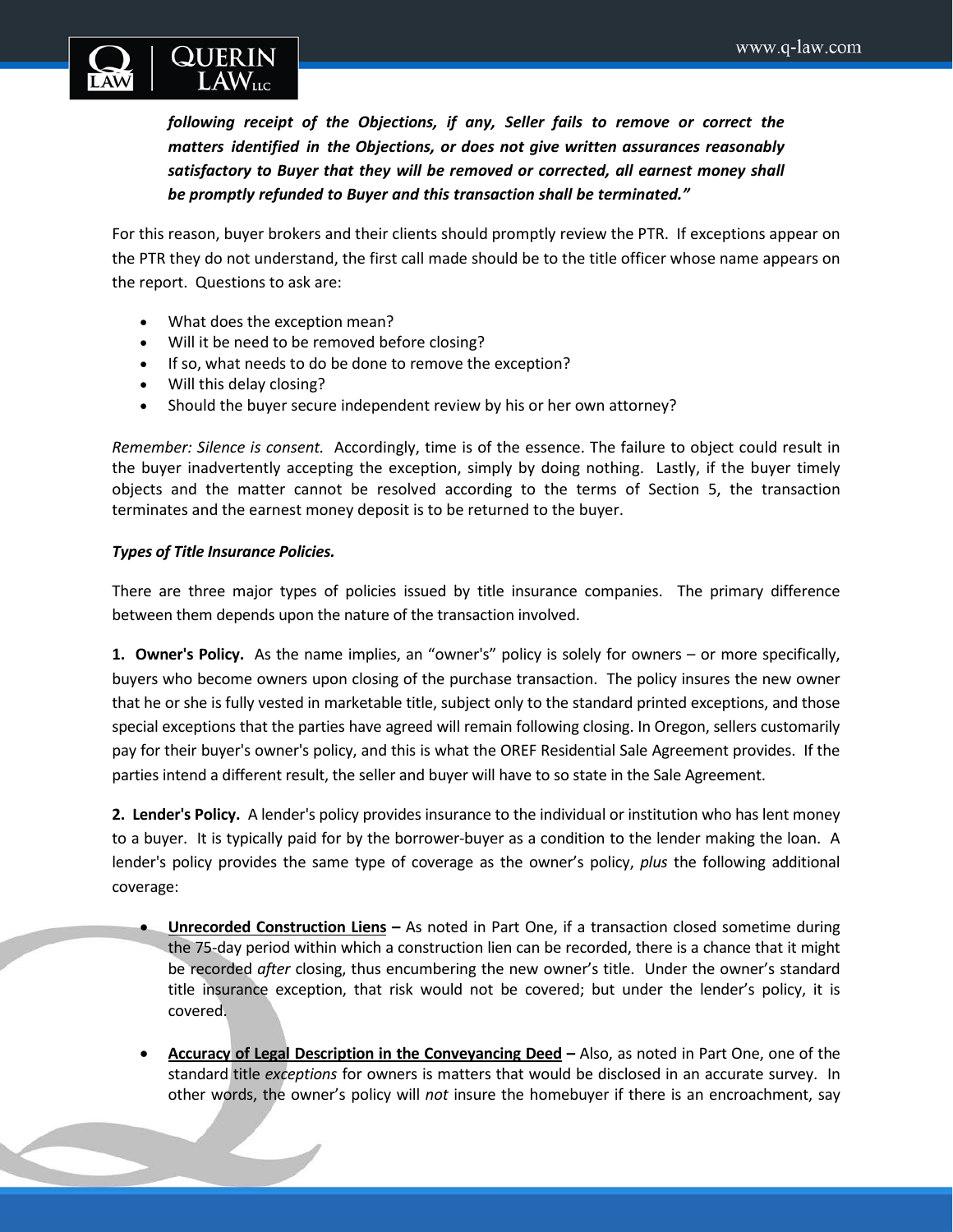

*following receipt of the Objections, if any, Seller fails to remove or correct the matters identified in the Objections, or does not give written assurances reasonably satisfactory to Buyer that they will be removed or corrected, all earnest money shall be promptly refunded to Buyer and this transaction shall be terminated."* 

For this reason, buyer brokers and their clients should promptly review the PTR. If exceptions appear on the PTR they do not understand, the first call made should be to the title officer whose name appears on the report. Questions to ask are:

- What does the exception mean?
- Will it be need to be removed before closing?
- If so, what needs to do be done to remove the exception?
- Will this delay closing?
- Should the buyer secure independent review by his or her own attorney?

*Remember: Silence is consent.* Accordingly, time is of the essence. The failure to object could result in the buyer inadvertently accepting the exception, simply by doing nothing. Lastly, if the buyer timely objects and the matter cannot be resolved according to the terms of Section 5, the transaction terminates and the earnest money deposit is to be returned to the buyer.

### *Types of Title Insurance Policies.*

There are three major types of policies issued by title insurance companies. The primary difference between them depends upon the nature of the transaction involved.

**1. Owner's Policy.** As the name implies, an "owner's" policy is solely for owners – or more specifically, buyers who become owners upon closing of the purchase transaction. The policy insures the new owner that he or she is fully vested in marketable title, subject only to the standard printed exceptions, and those special exceptions that the parties have agreed will remain following closing. In Oregon, sellers customarily pay for their buyer's owner's policy, and this is what the OREF Residential Sale Agreement provides. If the parties intend a different result, the seller and buyer will have to so state in the Sale Agreement.

**2. Lender's Policy.** A lender's policy provides insurance to the individual or institution who has lent money to a buyer. It is typically paid for by the borrower-buyer as a condition to the lender making the loan. A lender's policy provides the same type of coverage as the owner's policy, *plus* the following additional coverage:

- **Unrecorded Construction Liens –** As noted in Part One, if a transaction closed sometime during the 75-day period within which a construction lien can be recorded, there is a chance that it might be recorded *after* closing, thus encumbering the new owner's title. Under the owner's standard title insurance exception, that risk would not be covered; but under the lender's policy, it is covered.
- **Accuracy of Legal Description in the Conveyancing Deed –** Also, as noted in Part One, one of the standard title *exceptions* for owners is matters that would be disclosed in an accurate survey. In other words, the owner's policy will *not* insure the homebuyer if there is an encroachment, say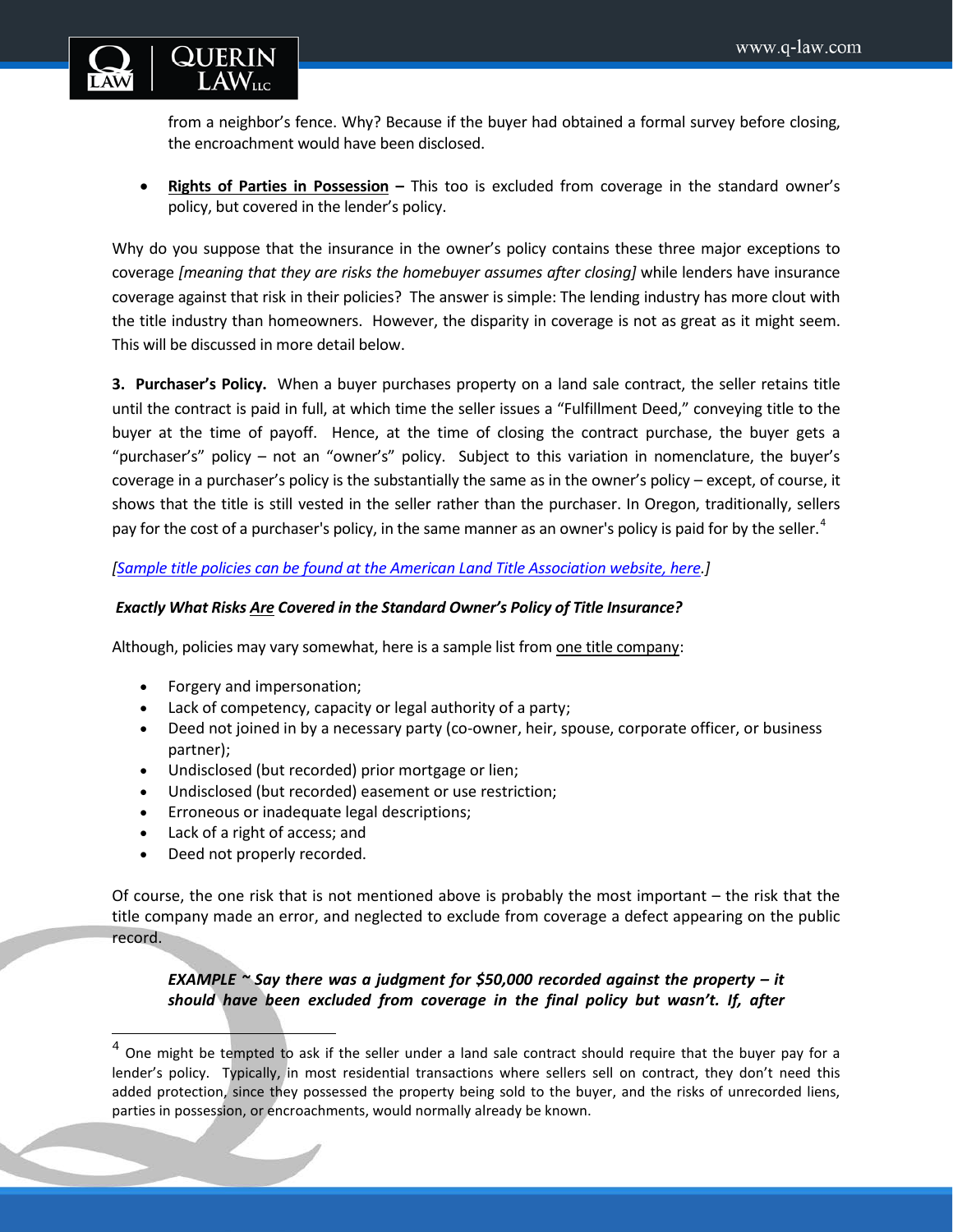

from a neighbor's fence. Why? Because if the buyer had obtained a formal survey before closing, the encroachment would have been disclosed.

• **Rights of Parties in Possession –** This too is excluded from coverage in the standard owner's policy, but covered in the lender's policy.

Why do you suppose that the insurance in the owner's policy contains these three major exceptions to coverage *[meaning that they are risks the homebuyer assumes after closing]* while lenders have insurance coverage against that risk in their policies? The answer is simple: The lending industry has more clout with the title industry than homeowners. However, the disparity in coverage is not as great as it might seem. This will be discussed in more detail below.

**3. Purchaser's Policy.** When a buyer purchases property on a land sale contract, the seller retains title until the contract is paid in full, at which time the seller issues a "Fulfillment Deed," conveying title to the buyer at the time of payoff. Hence, at the time of closing the contract purchase, the buyer gets a "purchaser's" policy – not an "owner's" policy. Subject to this variation in nomenclature, the buyer's coverage in a purchaser's policy is the substantially the same as in the owner's policy – except, of course, it shows that the title is still vested in the seller rather than the purchaser. In Oregon, traditionally, sellers pay for the cost of a purchaser's policy, in the same manner as an owner's policy is paid for by the seller.<sup>[4](#page-2-0)</sup>

*[\[Sample title policies can be found at the American Land Title Association website, here.](http://www.alta.org/forms/)]*

## *Exactly What Risks Are Covered in the Standard Owner's Policy of Title Insurance?*

Although, policies may vary somewhat, here is a sample list fro[m one title company:](http://www.firstam.com/title/resources/reference-information/title-insurance-reference-articles/q-a-about-title-insurance.html)

- Forgery and impersonation;
- Lack of competency, capacity or legal authority of a party;
- Deed not joined in by a necessary party (co-owner, heir, spouse, corporate officer, or business partner);
- Undisclosed (but recorded) prior mortgage or lien;
- Undisclosed (but recorded) easement or use restriction;
- Erroneous or inadequate legal descriptions;
- Lack of a right of access; and
- Deed not properly recorded.

l

Of course, the one risk that is not mentioned above is probably the most important – the risk that the title company made an error, and neglected to exclude from coverage a defect appearing on the public record.

*EXAMPLE ~ Say there was a judgment for \$50,000 recorded against the property – it should have been excluded from coverage in the final policy but wasn't. If, after* 

<span id="page-2-0"></span> $4$  One might be tempted to ask if the seller under a land sale contract should require that the buyer pay for a lender's policy. Typically, in most residential transactions where sellers sell on contract, they don't need this added protection, since they possessed the property being sold to the buyer, and the risks of unrecorded liens, parties in possession, or encroachments, would normally already be known.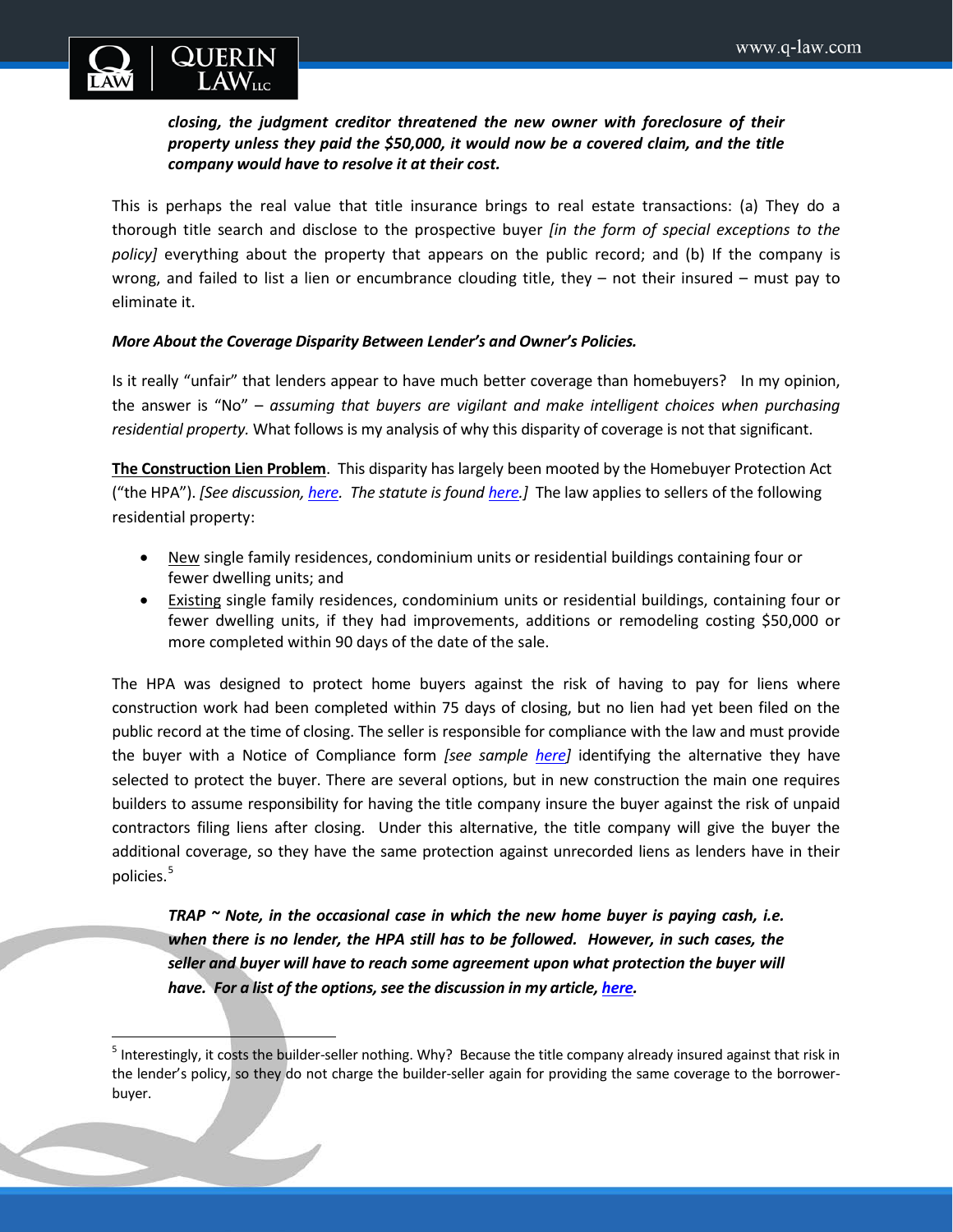

## *closing, the judgment creditor threatened the new owner with foreclosure of their property unless they paid the \$50,000, it would now be a covered claim, and the title company would have to resolve it at their cost.*

This is perhaps the real value that title insurance brings to real estate transactions: (a) They do a thorough title search and disclose to the prospective buyer *[in the form of special exceptions to the policy]* everything about the property that appears on the public record; and (b) If the company is wrong, and failed to list a lien or encumbrance clouding title, they – not their insured – must pay to eliminate it.

## *More About the Coverage Disparity Between Lender's and Owner's Policies.*

Is it really "unfair" that lenders appear to have much better coverage than homebuyers? In my opinion, the answer is "No" – *assuming that buyers are vigilant and make intelligent choices when purchasing residential property.* What follows is my analysis of why this disparity of coverage is not that significant.

**The Construction Lien Problem**. This disparity has largely been mooted by the Homebuyer Protection Act ("the HPA"). *[See discussion, [here.](http://www.q-law.com/wp-content/uploads/2011/02/Homebuyer-Protection-Act-HPA2.pdf) The statute is found [here.](http://www.oregonlaws.org/ors/87.007)]* The law applies to sellers of the following residential property:

- New single family residences, condominium units or residential buildings containing four or fewer dwelling units; and
- Existing single family residences, condominium units or residential buildings, containing four or fewer dwelling units, if they had improvements, additions or remodeling costing \$50,000 or more completed within 90 days of the date of the sale.

The HPA was designed to protect home buyers against the risk of having to pay for liens where construction work had been completed within 75 days of closing, but no lien had yet been filed on the public record at the time of closing. The seller is responsible for compliance with the law and must provide the buyer with a Notice of Compliance form *[see sample [here\]](https://ccbed.ccb.state.or.us/WebPDF/CCB/Publications/HPAform.pdf)* identifying the alternative they have selected to protect the buyer. There are several options, but in new construction the main one requires builders to assume responsibility for having the title company insure the buyer against the risk of unpaid contractors filing liens after closing. Under this alternative, the title company will give the buyer the additional coverage, so they have the same protection against unrecorded liens as lenders have in their policies.<sup>[5](#page-3-0)</sup>

*TRAP ~ Note, in the occasional case in which the new home buyer is paying cash, i.e. when there is no lender, the HPA still has to be followed. However, in such cases, the seller and buyer will have to reach some agreement upon what protection the buyer will have. For a list of the options, see the discussion in my article, [here.](http://www.q-law.com/wp-content/uploads/2011/02/Homebuyer-Protection-Act-HPA2.pdf)* 

<span id="page-3-0"></span><sup>&</sup>lt;sup>5</sup> Interestingly, it costs the builder-seller nothing. Why? Because the title company already insured against that risk in the lender's policy, so they do not charge the builder-seller again for providing the same coverage to the borrowerbuyer.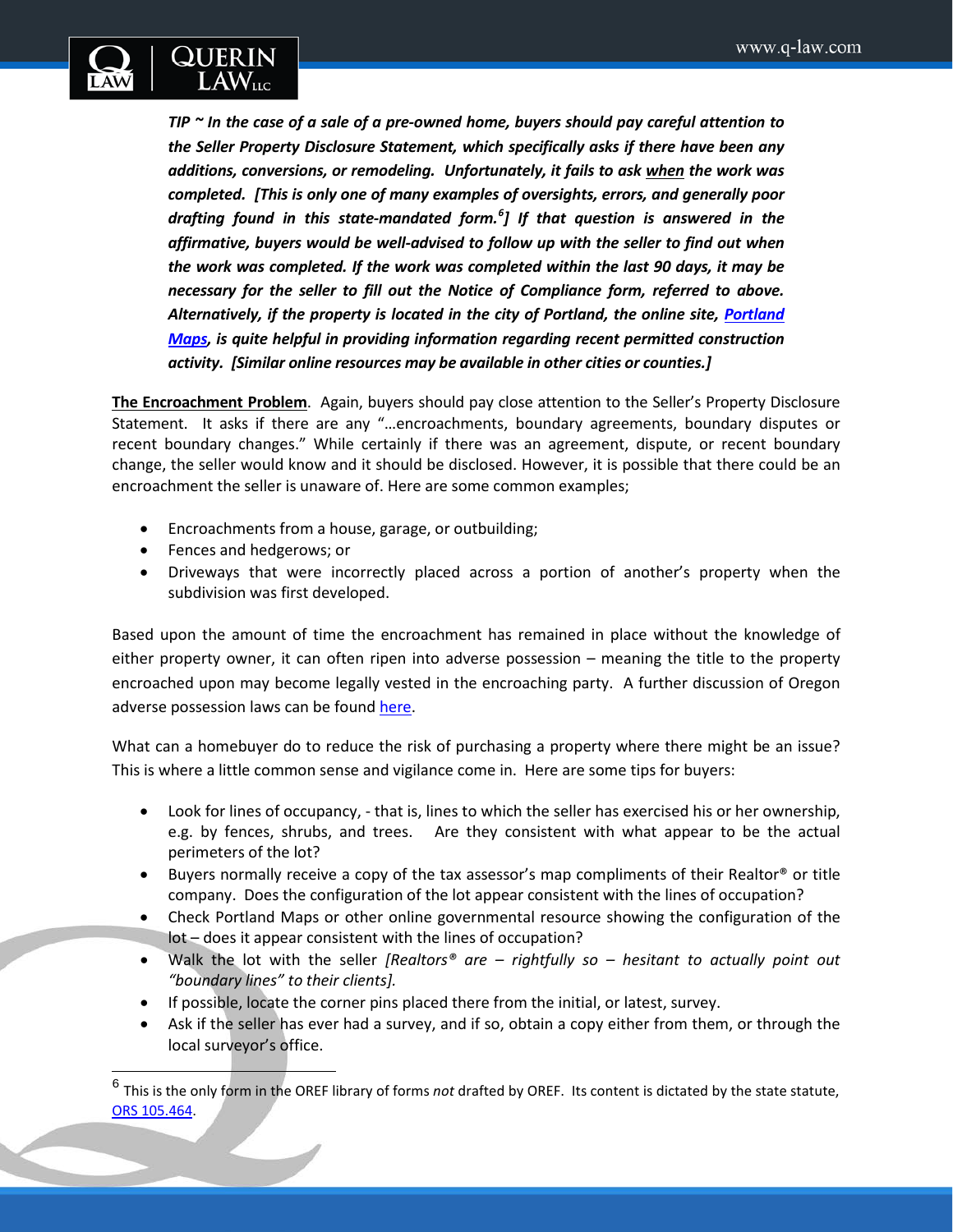

*TIP ~ In the case of a sale of a pre-owned home, buyers should pay careful attention to the Seller Property Disclosure Statement, which specifically asks if there have been any additions, conversions, or remodeling. Unfortunately, it fails to ask when the work was completed. [This is only one of many examples of oversights, errors, and generally poor drafting found in this state-mandated form.[6](#page-4-0) ] If that question is answered in the affirmative, buyers would be well-advised to follow up with the seller to find out when the work was completed. If the work was completed within the last 90 days, it may be necessary for the seller to fill out the Notice of Compliance form, referred to above. Alternatively, if the property is located in the city of Portland, the online site, [Portland](http://www.portlandmaps.com/)  [Maps,](http://www.portlandmaps.com/) is quite helpful in providing information regarding recent permitted construction activity. [Similar online resources may be available in other cities or counties.]* 

**The Encroachment Problem**. Again, buyers should pay close attention to the Seller's Property Disclosure Statement. It asks if there are any "…encroachments, boundary agreements, boundary disputes or recent boundary changes." While certainly if there was an agreement, dispute, or recent boundary change, the seller would know and it should be disclosed. However, it is possible that there could be an encroachment the seller is unaware of. Here are some common examples;

- Encroachments from a house, garage, or outbuilding;
- Fences and hedgerows; or

 $\overline{\phantom{a}}$ 

• Driveways that were incorrectly placed across a portion of another's property when the subdivision was first developed.

Based upon the amount of time the encroachment has remained in place without the knowledge of either property owner, it can often ripen into adverse possession – meaning the title to the property encroached upon may become legally vested in the encroaching party. A further discussion of Oregon adverse possession laws can be found [here.](http://q-law.com/realtor-alert-understanding-adverse-possession/)

What can a homebuyer do to reduce the risk of purchasing a property where there might be an issue? This is where a little common sense and vigilance come in. Here are some tips for buyers:

- Look for lines of occupancy, that is, lines to which the seller has exercised his or her ownership, e.g. by fences, shrubs, and trees. Are they consistent with what appear to be the actual perimeters of the lot?
- Buyers normally receive a copy of the tax assessor's map compliments of their Realtor® or title company. Does the configuration of the lot appear consistent with the lines of occupation?
- Check Portland Maps or other online governmental resource showing the configuration of the lot – does it appear consistent with the lines of occupation?
- Walk the lot with the seller *[Realtors® are – rightfully so – hesitant to actually point out "boundary lines" to their clients].*
- If possible, locate the corner pins placed there from the initial, or latest, survey.
- Ask if the seller has ever had a survey, and if so, obtain a copy either from them, or through the local surveyor's office.

<span id="page-4-0"></span><sup>6</sup> This is the only form in the OREF library of forms *not* drafted by OREF. Its content is dictated by the state statute, [ORS 105.464.](http://www.oregonlaws.org/ors/105.464)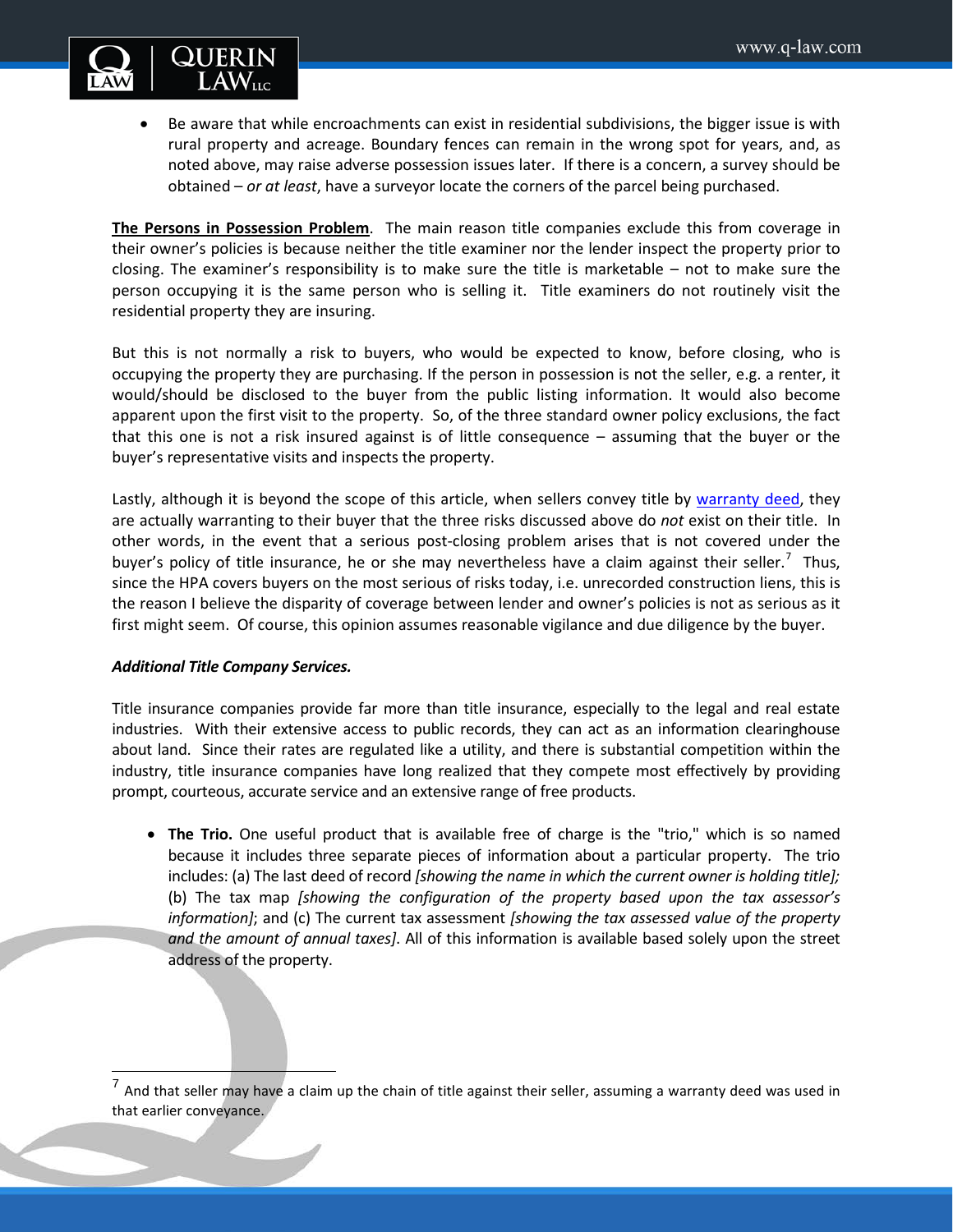

• Be aware that while encroachments can exist in residential subdivisions, the bigger issue is with rural property and acreage. Boundary fences can remain in the wrong spot for years, and, as noted above, may raise adverse possession issues later. If there is a concern, a survey should be obtained – *or at least*, have a surveyor locate the corners of the parcel being purchased.

**The Persons in Possession Problem**. The main reason title companies exclude this from coverage in their owner's policies is because neither the title examiner nor the lender inspect the property prior to closing. The examiner's responsibility is to make sure the title is marketable – not to make sure the person occupying it is the same person who is selling it. Title examiners do not routinely visit the residential property they are insuring.

But this is not normally a risk to buyers, who would be expected to know, before closing, who is occupying the property they are purchasing. If the person in possession is not the seller, e.g. a renter, it would/should be disclosed to the buyer from the public listing information. It would also become apparent upon the first visit to the property. So, of the three standard owner policy exclusions, the fact that this one is not a risk insured against is of little consequence – assuming that the buyer or the buyer's representative visits and inspects the property.

Lastly, although it is beyond the scope of this article, when sellers convey title by [warranty deed,](http://www.oregonlaws.org/ors/93.850) they are actually warranting to their buyer that the three risks discussed above do *not* exist on their title. In other words, in the event that a serious post-closing problem arises that is not covered under the buyer's policy of title insurance, he or she may nevertheless have a claim against their seller.<sup>[7](#page-5-0)</sup> Thus, since the HPA covers buyers on the most serious of risks today, i.e. unrecorded construction liens, this is the reason I believe the disparity of coverage between lender and owner's policies is not as serious as it first might seem. Of course, this opinion assumes reasonable vigilance and due diligence by the buyer.

### *Additional Title Company Services.*

 $\overline{\phantom{a}}$ 

Title insurance companies provide far more than title insurance, especially to the legal and real estate industries. With their extensive access to public records, they can act as an information clearinghouse about land. Since their rates are regulated like a utility, and there is substantial competition within the industry, title insurance companies have long realized that they compete most effectively by providing prompt, courteous, accurate service and an extensive range of free products.

• **The Trio.** One useful product that is available free of charge is the "trio," which is so named because it includes three separate pieces of information about a particular property. The trio includes: (a) The last deed of record *[showing the name in which the current owner is holding title];*  (b) The tax map *[showing the configuration of the property based upon the tax assessor's information]*; and (c) The current tax assessment *[showing the tax assessed value of the property and the amount of annual taxes]*. All of this information is available based solely upon the street address of the property.

<span id="page-5-0"></span> $<sup>7</sup>$  And that seller may have a claim up the chain of title against their seller, assuming a warranty deed was used in</sup> that earlier conveyance.